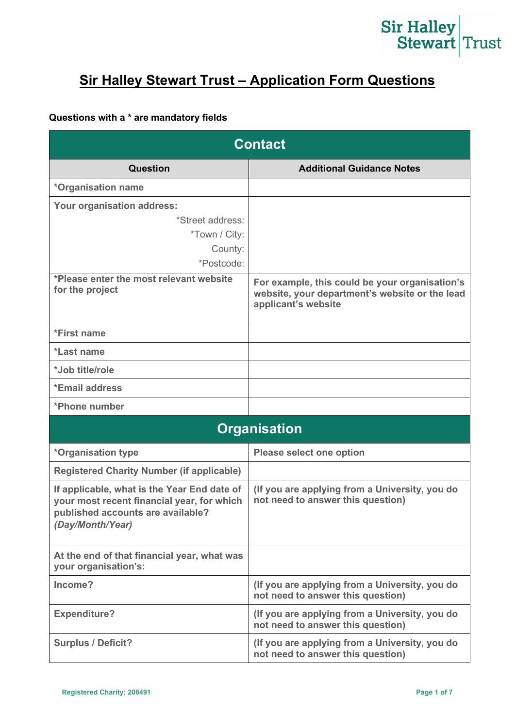# Sir Halley<br>Stewart Trust

### **Sir Halley Stewart Trust – Application Form Questions**

#### **Questions with a \* are mandatory fields**

| <b>Contact</b>                                                                                                                                     |                                                                                                                         |
|----------------------------------------------------------------------------------------------------------------------------------------------------|-------------------------------------------------------------------------------------------------------------------------|
| <b>Question</b>                                                                                                                                    | <b>Additional Guidance Notes</b>                                                                                        |
| *Organisation name                                                                                                                                 |                                                                                                                         |
| Your organisation address:                                                                                                                         |                                                                                                                         |
| *Street address:<br>*Town / City:<br>County:<br>*Postcode:                                                                                         |                                                                                                                         |
| *Please enter the most relevant website<br>for the project                                                                                         | For example, this could be your organisation's<br>website, your department's website or the lead<br>applicant's website |
| *First name                                                                                                                                        |                                                                                                                         |
| *Last name                                                                                                                                         |                                                                                                                         |
| *Job title/role                                                                                                                                    |                                                                                                                         |
| *Email address                                                                                                                                     |                                                                                                                         |
| *Phone number                                                                                                                                      |                                                                                                                         |
|                                                                                                                                                    | <b>Organisation</b>                                                                                                     |
| *Organisation type                                                                                                                                 | <b>Please select one option</b>                                                                                         |
| <b>Registered Charity Number (if applicable)</b>                                                                                                   |                                                                                                                         |
| If applicable, what is the Year End date of<br>your most recent financial year, for which<br>published accounts are available?<br>(Day/Month/Year) | (If you are applying from a University, you do<br>not need to answer this question)                                     |
| At the end of that financial year, what was<br>your organisation's:                                                                                |                                                                                                                         |
| Income?                                                                                                                                            | (If you are applying from a University, you do<br>not need to answer this question)                                     |
| <b>Expenditure?</b>                                                                                                                                | (If you are applying from a University, you do<br>not need to answer this question)                                     |
| <b>Surplus / Deficit?</b>                                                                                                                          | (If you are applying from a University, you do<br>not need to answer this question)                                     |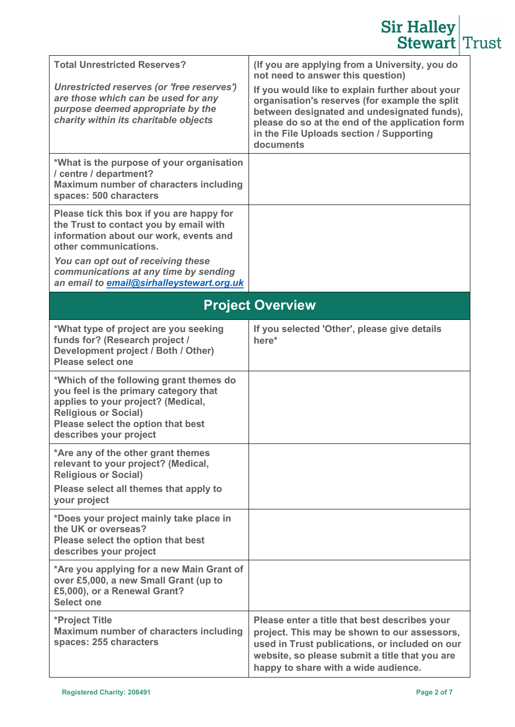|                                                                                                                                                                                                                       | <b>Sir Halley</b><br><b>Stewart Trust</b>                                                                                                                                                                                                                                                                                                           |  |
|-----------------------------------------------------------------------------------------------------------------------------------------------------------------------------------------------------------------------|-----------------------------------------------------------------------------------------------------------------------------------------------------------------------------------------------------------------------------------------------------------------------------------------------------------------------------------------------------|--|
| <b>Total Unrestricted Reserves?</b><br>Unrestricted reserves (or 'free reserves')<br>are those which can be used for any<br>purpose deemed appropriate by the<br>charity within its charitable objects                | (If you are applying from a University, you do<br>not need to answer this question)<br>If you would like to explain further about your<br>organisation's reserves (for example the split<br>between designated and undesignated funds),<br>please do so at the end of the application form<br>in the File Uploads section / Supporting<br>documents |  |
| *What is the purpose of your organisation<br>/ centre / department?<br>Maximum number of characters including<br>spaces: 500 characters                                                                               |                                                                                                                                                                                                                                                                                                                                                     |  |
| Please tick this box if you are happy for<br>the Trust to contact you by email with<br>information about our work, events and<br>other communications.<br>You can opt out of receiving these                          |                                                                                                                                                                                                                                                                                                                                                     |  |
| communications at any time by sending<br>an email to email@sirhalleystewart.org.uk                                                                                                                                    |                                                                                                                                                                                                                                                                                                                                                     |  |
|                                                                                                                                                                                                                       | <b>Project Overview</b>                                                                                                                                                                                                                                                                                                                             |  |
| *What type of project are you seeking<br>funds for? (Research project /<br>Development project / Both / Other)<br>Please select one                                                                                   | If you selected 'Other', please give details<br>here*                                                                                                                                                                                                                                                                                               |  |
| *Which of the following grant themes do<br>you feel is the primary category that<br>applies to your project? (Medical,<br><b>Religious or Social)</b><br>Please select the option that best<br>describes your project |                                                                                                                                                                                                                                                                                                                                                     |  |
| *Are any of the other grant themes<br>relevant to your project? (Medical,<br><b>Religious or Social)</b><br>Please select all themes that apply to<br>your project                                                    |                                                                                                                                                                                                                                                                                                                                                     |  |
| *Does your project mainly take place in<br>the UK or overseas?<br>Please select the option that best<br>describes your project                                                                                        |                                                                                                                                                                                                                                                                                                                                                     |  |
| *Are you applying for a new Main Grant of<br>over £5,000, a new Small Grant (up to<br>£5,000), or a Renewal Grant?<br><b>Select one</b>                                                                               |                                                                                                                                                                                                                                                                                                                                                     |  |
| *Project Title<br>Maximum number of characters including<br>spaces: 255 characters                                                                                                                                    | Please enter a title that best describes your<br>project. This may be shown to our assessors,<br>used in Trust publications, or included on our<br>website, so please submit a title that you are<br>happy to share with a wide audience.                                                                                                           |  |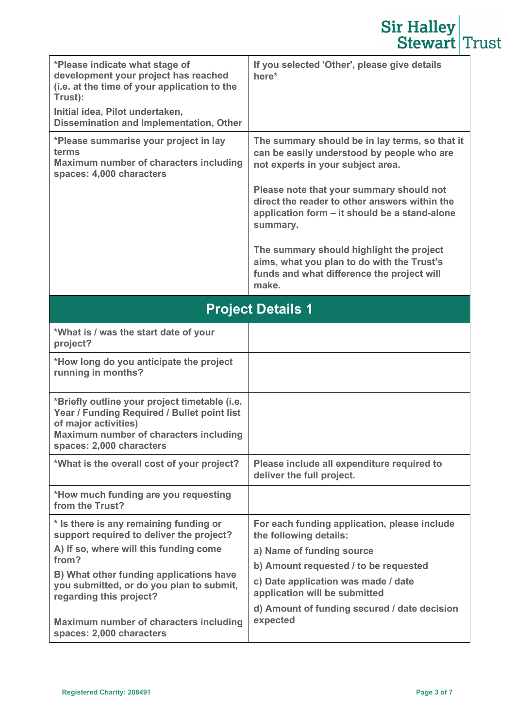|                                                                                                                                                                                                                 | <b>Sir Halley</b><br><b>Stewart Trust</b>                                                                                                              |  |
|-----------------------------------------------------------------------------------------------------------------------------------------------------------------------------------------------------------------|--------------------------------------------------------------------------------------------------------------------------------------------------------|--|
| *Please indicate what stage of<br>development your project has reached<br>(i.e. at the time of your application to the<br>Trust):<br>Initial idea, Pilot undertaken,<br>Dissemination and Implementation, Other | If you selected 'Other', please give details<br>here*                                                                                                  |  |
| *Please summarise your project in lay<br>terms<br><b>Maximum number of characters including</b><br>spaces: 4,000 characters                                                                                     | The summary should be in lay terms, so that it<br>can be easily understood by people who are<br>not experts in your subject area.                      |  |
|                                                                                                                                                                                                                 | Please note that your summary should not<br>direct the reader to other answers within the<br>application form - it should be a stand-alone<br>summary. |  |
|                                                                                                                                                                                                                 | The summary should highlight the project<br>aims, what you plan to do with the Trust's<br>funds and what difference the project will<br>make.          |  |
| <b>Project Details 1</b>                                                                                                                                                                                        |                                                                                                                                                        |  |
| *What is / was the start date of your<br>project?                                                                                                                                                               |                                                                                                                                                        |  |
| *How long do you anticipate the project<br>running in months?                                                                                                                                                   |                                                                                                                                                        |  |
| *Briefly outline your project timetable (i.e.<br>Year / Funding Required / Bullet point list<br>of major activities)<br>Maximum number of characters including<br>spaces: 2,000 characters                      |                                                                                                                                                        |  |
| *What is the overall cost of your project?                                                                                                                                                                      | Please include all expenditure required to<br>deliver the full project.                                                                                |  |
| *How much funding are you requesting<br>from the Trust?                                                                                                                                                         |                                                                                                                                                        |  |
| * Is there is any remaining funding or<br>support required to deliver the project?                                                                                                                              | For each funding application, please include<br>the following details:                                                                                 |  |
| A) If so, where will this funding come<br>from?                                                                                                                                                                 | a) Name of funding source                                                                                                                              |  |
| B) What other funding applications have                                                                                                                                                                         | b) Amount requested / to be requested                                                                                                                  |  |
| you submitted, or do you plan to submit,<br>regarding this project?                                                                                                                                             | c) Date application was made / date<br>application will be submitted                                                                                   |  |
| Maximum number of characters including                                                                                                                                                                          | d) Amount of funding secured / date decision<br>expected                                                                                               |  |
| spaces: 2,000 characters                                                                                                                                                                                        |                                                                                                                                                        |  |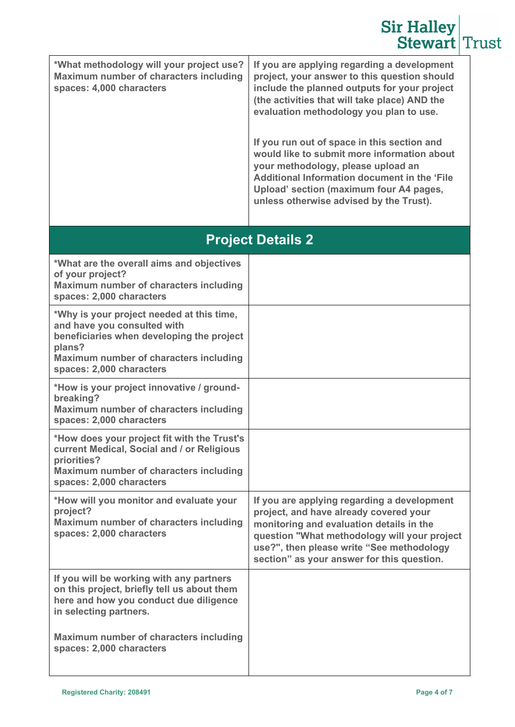|                                                                                                                                                                                                       | <b>Sir Halley</b><br><b>Stewart Trust</b>                                                                                                                                                                                                                                     |  |
|-------------------------------------------------------------------------------------------------------------------------------------------------------------------------------------------------------|-------------------------------------------------------------------------------------------------------------------------------------------------------------------------------------------------------------------------------------------------------------------------------|--|
| *What methodology will your project use?<br>Maximum number of characters including<br>spaces: 4,000 characters                                                                                        | If you are applying regarding a development<br>project, your answer to this question should<br>include the planned outputs for your project<br>(the activities that will take place) AND the<br>evaluation methodology you plan to use.                                       |  |
|                                                                                                                                                                                                       | If you run out of space in this section and<br>would like to submit more information about<br>your methodology, please upload an<br><b>Additional Information document in the 'File</b><br>Upload' section (maximum four A4 pages,<br>unless otherwise advised by the Trust). |  |
|                                                                                                                                                                                                       | <b>Project Details 2</b>                                                                                                                                                                                                                                                      |  |
| *What are the overall aims and objectives<br>of your project?<br>Maximum number of characters including<br>spaces: 2,000 characters                                                                   |                                                                                                                                                                                                                                                                               |  |
| *Why is your project needed at this time,<br>and have you consulted with<br>beneficiaries when developing the project<br>plans?<br>Maximum number of characters including<br>spaces: 2,000 characters |                                                                                                                                                                                                                                                                               |  |
| *How is your project innovative / ground-<br>breaking?<br>Maximum number of characters including<br>spaces: 2,000 characters                                                                          |                                                                                                                                                                                                                                                                               |  |
| *How does your project fit with the Trust's<br>current Medical, Social and / or Religious<br>priorities?<br>Maximum number of characters including<br>spaces: 2,000 characters                        |                                                                                                                                                                                                                                                                               |  |
| *How will you monitor and evaluate your<br>project?<br>Maximum number of characters including<br>spaces: 2,000 characters                                                                             | If you are applying regarding a development<br>project, and have already covered your<br>monitoring and evaluation details in the<br>question "What methodology will your project<br>use?", then please write "See methodology<br>section" as your answer for this question.  |  |
| If you will be working with any partners<br>on this project, briefly tell us about them<br>here and how you conduct due diligence<br>in selecting partners.                                           |                                                                                                                                                                                                                                                                               |  |
| <b>Maximum number of characters including</b><br>spaces: 2,000 characters                                                                                                                             |                                                                                                                                                                                                                                                                               |  |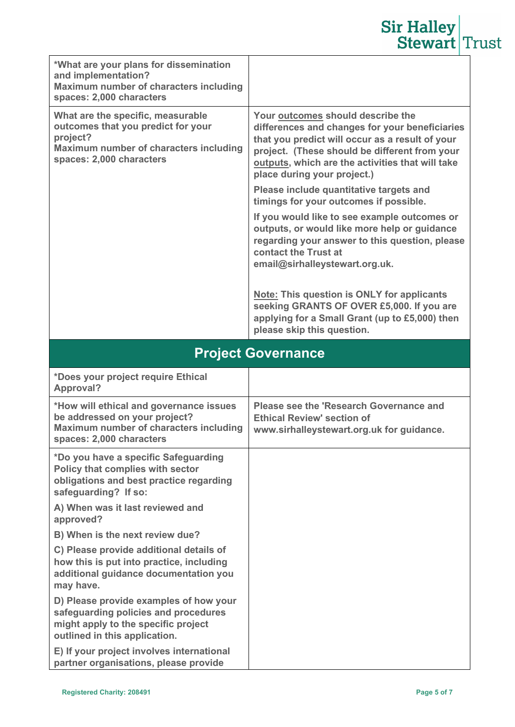## **Sir Halley**<br>**Stewart** Trust

| *What are your plans for dissemination<br>and implementation?<br>Maximum number of characters including<br>spaces: 2,000 characters                              |                                                                                                                                                                                                                                                                                                                                                                                                                                                                                                                                                                                                                                                                                                                                                               |
|------------------------------------------------------------------------------------------------------------------------------------------------------------------|---------------------------------------------------------------------------------------------------------------------------------------------------------------------------------------------------------------------------------------------------------------------------------------------------------------------------------------------------------------------------------------------------------------------------------------------------------------------------------------------------------------------------------------------------------------------------------------------------------------------------------------------------------------------------------------------------------------------------------------------------------------|
| What are the specific, measurable<br>outcomes that you predict for your<br>project?<br><b>Maximum number of characters including</b><br>spaces: 2,000 characters | Your outcomes should describe the<br>differences and changes for your beneficiaries<br>that you predict will occur as a result of your<br>project. (These should be different from your<br>outputs, which are the activities that will take<br>place during your project.)<br>Please include quantitative targets and<br>timings for your outcomes if possible.<br>If you would like to see example outcomes or<br>outputs, or would like more help or guidance<br>regarding your answer to this question, please<br>contact the Trust at<br>email@sirhalleystewart.org.uk.<br><b>Note: This question is ONLY for applicants</b><br>seeking GRANTS OF OVER £5,000. If you are<br>applying for a Small Grant (up to £5,000) then<br>please skip this question. |
| <b>Project Governance</b>                                                                                                                                        |                                                                                                                                                                                                                                                                                                                                                                                                                                                                                                                                                                                                                                                                                                                                                               |
|                                                                                                                                                                  |                                                                                                                                                                                                                                                                                                                                                                                                                                                                                                                                                                                                                                                                                                                                                               |
| *Does your project require Ethical<br><b>Approval?</b>                                                                                                           |                                                                                                                                                                                                                                                                                                                                                                                                                                                                                                                                                                                                                                                                                                                                                               |
| *How will ethical and governance issues<br>be addressed on your project?<br>Maximum number of characters including<br>spaces: 2,000 characters                   | Please see the 'Research Governance and<br><b>Ethical Review' section of</b><br>www.sirhalleystewart.org.uk for guidance.                                                                                                                                                                                                                                                                                                                                                                                                                                                                                                                                                                                                                                     |
| *Do you have a specific Safeguarding<br>Policy that complies with sector<br>obligations and best practice regarding<br>safeguarding? If so:                      |                                                                                                                                                                                                                                                                                                                                                                                                                                                                                                                                                                                                                                                                                                                                                               |
| A) When was it last reviewed and<br>approved?                                                                                                                    |                                                                                                                                                                                                                                                                                                                                                                                                                                                                                                                                                                                                                                                                                                                                                               |
| B) When is the next review due?                                                                                                                                  |                                                                                                                                                                                                                                                                                                                                                                                                                                                                                                                                                                                                                                                                                                                                                               |
| C) Please provide additional details of<br>how this is put into practice, including<br>additional guidance documentation you<br>may have.                        |                                                                                                                                                                                                                                                                                                                                                                                                                                                                                                                                                                                                                                                                                                                                                               |
| D) Please provide examples of how your<br>safeguarding policies and procedures<br>might apply to the specific project<br>outlined in this application.           |                                                                                                                                                                                                                                                                                                                                                                                                                                                                                                                                                                                                                                                                                                                                                               |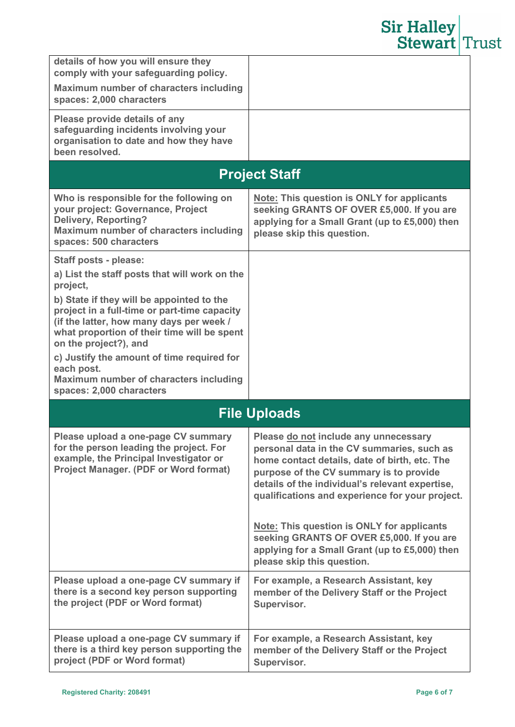|                                                                                                                                                                                                               | <b>Sir Halley</b><br><b>Stewart Trust</b>                                                                                                                                                                                                                                             |
|---------------------------------------------------------------------------------------------------------------------------------------------------------------------------------------------------------------|---------------------------------------------------------------------------------------------------------------------------------------------------------------------------------------------------------------------------------------------------------------------------------------|
| details of how you will ensure they<br>comply with your safeguarding policy.<br>Maximum number of characters including<br>spaces: 2,000 characters                                                            |                                                                                                                                                                                                                                                                                       |
| Please provide details of any<br>safeguarding incidents involving your<br>organisation to date and how they have<br>been resolved.                                                                            |                                                                                                                                                                                                                                                                                       |
| <b>Project Staff</b>                                                                                                                                                                                          |                                                                                                                                                                                                                                                                                       |
| Who is responsible for the following on<br>your project: Governance, Project<br><b>Delivery, Reporting?</b><br>Maximum number of characters including<br>spaces: 500 characters                               | Note: This question is ONLY for applicants<br>seeking GRANTS OF OVER £5,000. If you are<br>applying for a Small Grant (up to £5,000) then<br>please skip this question.                                                                                                               |
| Staff posts - please:<br>a) List the staff posts that will work on the<br>project,                                                                                                                            |                                                                                                                                                                                                                                                                                       |
| b) State if they will be appointed to the<br>project in a full-time or part-time capacity<br>(if the latter, how many days per week /<br>what proportion of their time will be spent<br>on the project?), and |                                                                                                                                                                                                                                                                                       |
| c) Justify the amount of time required for<br>each post.<br>Maximum number of characters including<br>spaces: 2,000 characters                                                                                |                                                                                                                                                                                                                                                                                       |
| <b>File Uploads</b>                                                                                                                                                                                           |                                                                                                                                                                                                                                                                                       |
| Please upload a one-page CV summary<br>for the person leading the project. For<br>example, the Principal Investigator or<br><b>Project Manager. (PDF or Word format)</b>                                      | Please do not include any unnecessary<br>personal data in the CV summaries, such as<br>home contact details, date of birth, etc. The<br>purpose of the CV summary is to provide<br>details of the individual's relevant expertise,<br>qualifications and experience for your project. |
|                                                                                                                                                                                                               | <b>Note: This question is ONLY for applicants</b><br>seeking GRANTS OF OVER £5,000. If you are<br>applying for a Small Grant (up to £5,000) then<br>please skip this question.                                                                                                        |
| Please upload a one-page CV summary if<br>there is a second key person supporting<br>the project (PDF or Word format)                                                                                         | For example, a Research Assistant, key<br>member of the Delivery Staff or the Project<br>Supervisor.                                                                                                                                                                                  |
| Please upload a one-page CV summary if<br>there is a third key person supporting the<br>project (PDF or Word format)                                                                                          | For example, a Research Assistant, key<br>member of the Delivery Staff or the Project<br>Supervisor.                                                                                                                                                                                  |